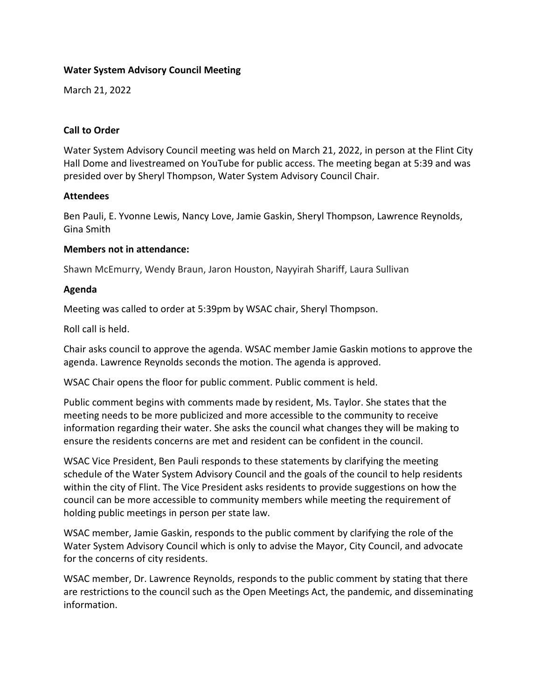# **Water System Advisory Council Meeting**

March 21, 2022

# **Call to Order**

Water System Advisory Council meeting was held on March 21, 2022, in person at the Flint City Hall Dome and livestreamed on YouTube for public access. The meeting began at 5:39 and was presided over by Sheryl Thompson, Water System Advisory Council Chair.

## **Attendees**

Ben Pauli, E. Yvonne Lewis, Nancy Love, Jamie Gaskin, Sheryl Thompson, Lawrence Reynolds, Gina Smith

## **Members not in attendance:**

Shawn McEmurry, Wendy Braun, Jaron Houston, Nayyirah Shariff, Laura Sullivan

## **Agenda**

Meeting was called to order at 5:39pm by WSAC chair, Sheryl Thompson.

Roll call is held.

Chair asks council to approve the agenda. WSAC member Jamie Gaskin motions to approve the agenda. Lawrence Reynolds seconds the motion. The agenda is approved.

WSAC Chair opens the floor for public comment. Public comment is held.

Public comment begins with comments made by resident, Ms. Taylor. She states that the meeting needs to be more publicized and more accessible to the community to receive information regarding their water. She asks the council what changes they will be making to ensure the residents concerns are met and resident can be confident in the council.

WSAC Vice President, Ben Pauli responds to these statements by clarifying the meeting schedule of the Water System Advisory Council and the goals of the council to help residents within the city of Flint. The Vice President asks residents to provide suggestions on how the council can be more accessible to community members while meeting the requirement of holding public meetings in person per state law.

WSAC member, Jamie Gaskin, responds to the public comment by clarifying the role of the Water System Advisory Council which is only to advise the Mayor, City Council, and advocate for the concerns of city residents.

WSAC member, Dr. Lawrence Reynolds, responds to the public comment by stating that there are restrictions to the council such as the Open Meetings Act, the pandemic, and disseminating information.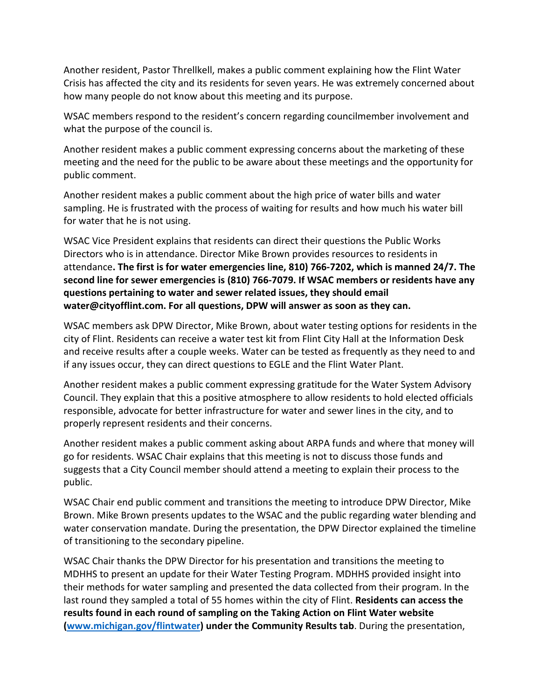Another resident, Pastor Threllkell, makes a public comment explaining how the Flint Water Crisis has affected the city and its residents for seven years. He was extremely concerned about how many people do not know about this meeting and its purpose.

WSAC members respond to the resident's concern regarding councilmember involvement and what the purpose of the council is.

Another resident makes a public comment expressing concerns about the marketing of these meeting and the need for the public to be aware about these meetings and the opportunity for public comment.

Another resident makes a public comment about the high price of water bills and water sampling. He is frustrated with the process of waiting for results and how much his water bill for water that he is not using.

WSAC Vice President explains that residents can direct their questions the Public Works Directors who is in attendance. Director Mike Brown provides resources to residents in attendance**. The first is for water emergencies line, 810) 766-7202, which is manned 24/7. The second line for sewer emergencies is (810) 766-7079. If WSAC members or residents have any questions pertaining to water and sewer related issues, they should email water@cityofflint.com. For all questions, DPW will answer as soon as they can.**

WSAC members ask DPW Director, Mike Brown, about water testing options for residents in the city of Flint. Residents can receive a water test kit from Flint City Hall at the Information Desk and receive results after a couple weeks. Water can be tested as frequently as they need to and if any issues occur, they can direct questions to EGLE and the Flint Water Plant.

Another resident makes a public comment expressing gratitude for the Water System Advisory Council. They explain that this a positive atmosphere to allow residents to hold elected officials responsible, advocate for better infrastructure for water and sewer lines in the city, and to properly represent residents and their concerns.

Another resident makes a public comment asking about ARPA funds and where that money will go for residents. WSAC Chair explains that this meeting is not to discuss those funds and suggests that a City Council member should attend a meeting to explain their process to the public.

WSAC Chair end public comment and transitions the meeting to introduce DPW Director, Mike Brown. Mike Brown presents updates to the WSAC and the public regarding water blending and water conservation mandate. During the presentation, the DPW Director explained the timeline of transitioning to the secondary pipeline.

WSAC Chair thanks the DPW Director for his presentation and transitions the meeting to MDHHS to present an update for their Water Testing Program. MDHHS provided insight into their methods for water sampling and presented the data collected from their program. In the last round they sampled a total of 55 homes within the city of Flint. **Residents can access the results found in each round of sampling on the Taking Action on Flint Water website [\(www.michigan.gov/flintwater\)](http://www.michigan.gov/flintwater) under the Community Results tab**. During the presentation,